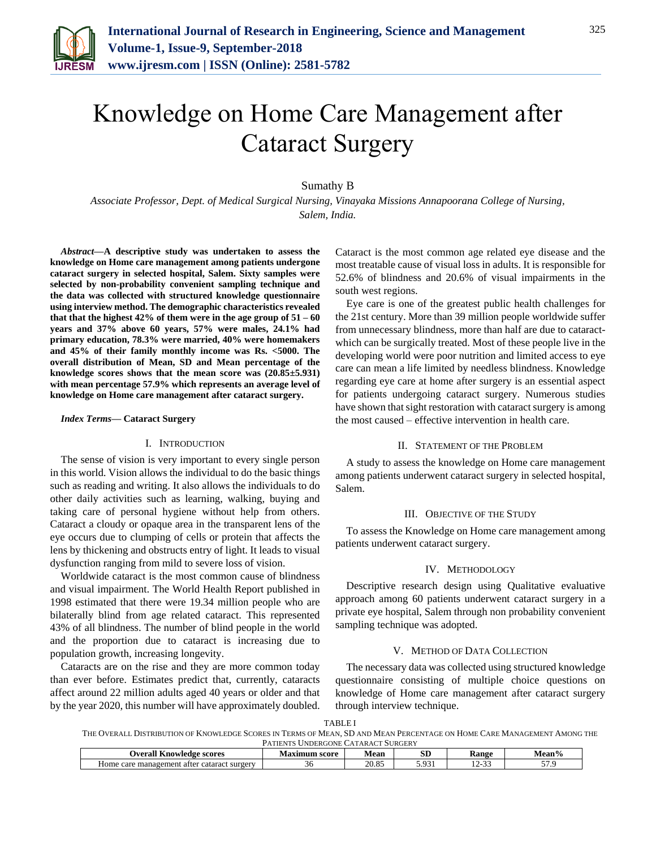

# Knowledge on Home Care Management after Cataract Surgery

## Sumathy B

*Associate Professor, Dept. of Medical Surgical Nursing, Vinayaka Missions Annapoorana College of Nursing, Salem, India.* 

*Abstract***—A descriptive study was undertaken to assess the knowledge on Home care management among patients undergone cataract surgery in selected hospital, Salem. Sixty samples were selected by non-probability convenient sampling technique and the data was collected with structured knowledge questionnaire using interview method. The demographic characteristics revealed that that the highest 42% of them were in the age group of 51 – 60 years and 37% above 60 years, 57% were males, 24.1% had primary education, 78.3% were married, 40% were homemakers and 45% of their family monthly income was Rs. <5000. The overall distribution of Mean, SD and Mean percentage of the knowledge scores shows that the mean score was (20.85±5.931) with mean percentage 57.9% which represents an average level of knowledge on Home care management after cataract surgery.**

#### *Index Terms***— Cataract Surgery**

#### I. INTRODUCTION

The sense of vision is very important to every single person in this world. Vision allows the individual to do the basic things such as reading and writing. It also allows the individuals to do other daily activities such as learning, walking, buying and taking care of personal hygiene without help from others. Cataract a cloudy or opaque area in the transparent lens of the eye occurs due to clumping of cells or protein that affects the lens by thickening and obstructs entry of light. It leads to visual dysfunction ranging from mild to severe loss of vision.

Worldwide cataract is the most common cause of blindness and visual impairment. The World Health Report published in 1998 estimated that there were 19.34 million people who are bilaterally blind from age related cataract. This represented 43% of all blindness. The number of blind people in the world and the proportion due to cataract is increasing due to population growth, increasing longevity.

Cataracts are on the rise and they are more common today than ever before. Estimates predict that, currently, cataracts affect around 22 million adults aged 40 years or older and that by the year 2020, this number will have approximately doubled.

Cataract is the most common age related eye disease and the most treatable cause of visual loss in adults. It is responsible for 52.6% of blindness and 20.6% of visual impairments in the south west regions.

Eye care is one of the greatest public health challenges for the 21st century. More than 39 million people worldwide suffer from unnecessary blindness, more than half are due to cataractwhich can be surgically treated. Most of these people live in the developing world were poor nutrition and limited access to eye care can mean a life limited by needless blindness. Knowledge regarding eye care at home after surgery is an essential aspect for patients undergoing cataract surgery. Numerous studies have shown that sight restoration with cataract surgery is among the most caused – effective intervention in health care.

#### II. STATEMENT OF THE PROBLEM

A study to assess the knowledge on Home care management among patients underwent cataract surgery in selected hospital, Salem.

#### III. OBJECTIVE OF THE STUDY

To assess the Knowledge on Home care management among patients underwent cataract surgery.

## IV. METHODOLOGY

Descriptive research design using Qualitative evaluative approach among 60 patients underwent cataract surgery in a private eye hospital, Salem through non probability convenient sampling technique was adopted.

## V. METHOD OF DATA COLLECTION

The necessary data was collected using structured knowledge questionnaire consisting of multiple choice questions on knowledge of Home care management after cataract surgery through interview technique.

|--|--|

THE OVERALL DISTRIBUTION OF KNOWLEDGE SCORES IN TERMS OF MEAN, SD AND MEAN PERCENTAGE ON HOME CARE MANAGEMENT AMONG THE PATIENTS UNDERGONE CATARACT SURGERY

| <b>Knowledge scores</b><br><b>D</b> verall                       | score | Mean           | αт<br>σv              | Range                                                 | Vlean%     |  |  |
|------------------------------------------------------------------|-------|----------------|-----------------------|-------------------------------------------------------|------------|--|--|
| $ -$<br>∶cataract surgerv<br>management<br>atter<br>⊣ome<br>care | JU    | 20.95<br>20.OJ | $\Omega$<br>.<br>---- | $\sim$<br>$\overline{\phantom{a}}$<br>. .<br><u>.</u> | $- -$<br>. |  |  |